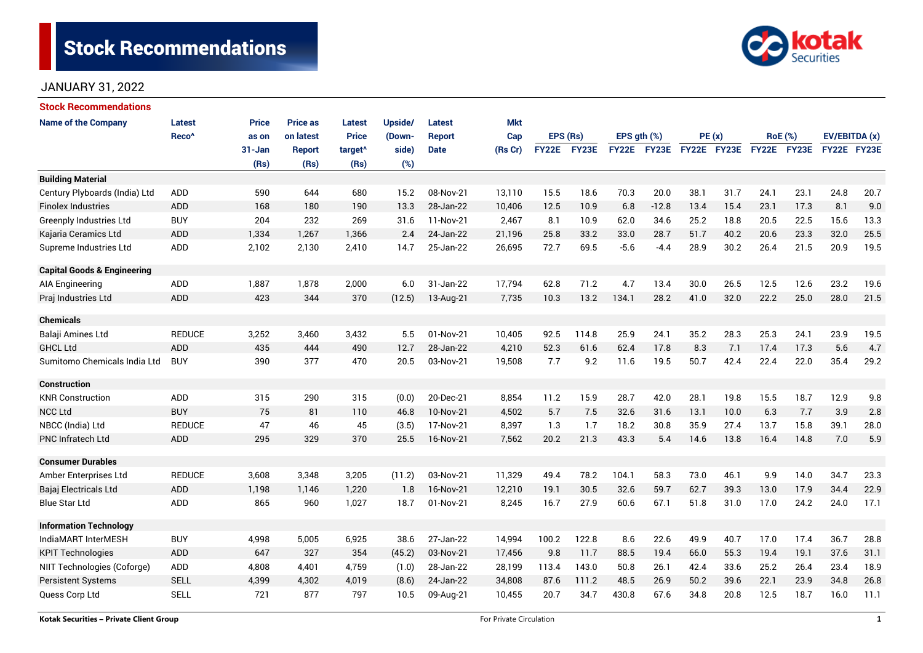# **Stock Recommendations**



# JANUARY 31, 2022

| <b>Stock Recommendations</b>           |                   |            |                 |                     |         |               |            |              |          |             |         |             |      |                |      |               |      |
|----------------------------------------|-------------------|------------|-----------------|---------------------|---------|---------------|------------|--------------|----------|-------------|---------|-------------|------|----------------|------|---------------|------|
| <b>Name of the Company</b>             | Latest            | Price      | <b>Price as</b> | Latest              | Upside/ | Latest        | <b>Mkt</b> |              |          |             |         |             |      |                |      |               |      |
|                                        | Reco <sup>^</sup> | as on      | on latest       | <b>Price</b>        | (Down-  | <b>Report</b> | Cap        |              | EPS (Rs) | EPS gth (%) |         | PE(x)       |      | <b>RoE</b> (%) |      | EV/EBITDA (x) |      |
|                                        |                   | $31 - Jan$ | <b>Report</b>   | target <sup>^</sup> | side)   | <b>Date</b>   | (Rs Cr)    | <b>FY22E</b> | FY23E    | FY22E       | FY23E   | FY22E FY23E |      | FY22E FY23E    |      | FY22E FY23E   |      |
|                                        |                   | (Rs)       | (Rs)            | (Rs)                | (%)     |               |            |              |          |             |         |             |      |                |      |               |      |
| <b>Building Material</b>               |                   |            |                 |                     |         |               |            |              |          |             |         |             |      |                |      |               |      |
| Century Plyboards (India) Ltd          | <b>ADD</b>        | 590        | 644             | 680                 | 15.2    | 08-Nov-21     | 13,110     | 15.5         | 18.6     | 70.3        | 20.0    | 38.1        | 31.7 | 24.1           | 23.1 | 24.8          | 20.7 |
| <b>Finolex Industries</b>              | ADD               | 168        | 180             | 190                 | 13.3    | 28-Jan-22     | 10,406     | 12.5         | 10.9     | 6.8         | $-12.8$ | 13.4        | 15.4 | 23.1           | 17.3 | 8.1           | 9.0  |
| <b>Greenply Industries Ltd</b>         | <b>BUY</b>        | 204        | 232             | 269                 | 31.6    | 11-Nov-21     | 2,467      | 8.1          | 10.9     | 62.0        | 34.6    | 25.2        | 18.8 | 20.5           | 22.5 | 15.6          | 13.3 |
| Kajaria Ceramics Ltd                   | <b>ADD</b>        | 1,334      | 1,267           | 1,366               | 2.4     | 24-Jan-22     | 21,196     | 25.8         | 33.2     | 33.0        | 28.7    | 51.7        | 40.2 | 20.6           | 23.3 | 32.0          | 25.5 |
| Supreme Industries Ltd                 | ADD               | 2,102      | 2,130           | 2,410               | 14.7    | 25-Jan-22     | 26,695     | 72.7         | 69.5     | $-5.6$      | $-4.4$  | 28.9        | 30.2 | 26.4           | 21.5 | 20.9          | 19.5 |
| <b>Capital Goods &amp; Engineering</b> |                   |            |                 |                     |         |               |            |              |          |             |         |             |      |                |      |               |      |
| AIA Engineering                        | ADD               | 1,887      | 1,878           | 2,000               | 6.0     | 31-Jan-22     | 17,794     | 62.8         | 71.2     | 4.7         | 13.4    | 30.0        | 26.5 | 12.5           | 12.6 | 23.2          | 19.6 |
| Praj Industries Ltd                    | ADD               | 423        | 344             | 370                 | (12.5)  | 13-Aug-21     | 7,735      | 10.3         | 13.2     | 134.1       | 28.2    | 41.0        | 32.0 | 22.2           | 25.0 | 28.0          | 21.5 |
| <b>Chemicals</b>                       |                   |            |                 |                     |         |               |            |              |          |             |         |             |      |                |      |               |      |
| Balaji Amines Ltd                      | <b>REDUCE</b>     | 3,252      | 3,460           | 3,432               | 5.5     | 01-Nov-21     | 10,405     | 92.5         | 114.8    | 25.9        | 24.1    | 35.2        | 28.3 | 25.3           | 24.1 | 23.9          | 19.5 |
| <b>GHCL Ltd</b>                        | <b>ADD</b>        | 435        | 444             | 490                 | 12.7    | 28-Jan-22     | 4,210      | 52.3         | 61.6     | 62.4        | 17.8    | 8.3         | 7.1  | 17.4           | 17.3 | 5.6           | 4.7  |
| Sumitomo Chemicals India Ltd           | <b>BUY</b>        | 390        | 377             | 470                 | 20.5    | 03-Nov-21     | 19,508     | 7.7          | 9.2      | 11.6        | 19.5    | 50.7        | 42.4 | 22.4           | 22.0 | 35.4          | 29.2 |
| <b>Construction</b>                    |                   |            |                 |                     |         |               |            |              |          |             |         |             |      |                |      |               |      |
| <b>KNR Construction</b>                | ADD               | 315        | 290             | 315                 | (0.0)   | 20-Dec-21     | 8,854      | 11.2         | 15.9     | 28.7        | 42.0    | 28.1        | 19.8 | 15.5           | 18.7 | 12.9          | 9.8  |
| <b>NCC Ltd</b>                         | <b>BUY</b>        | 75         | 81              | 110                 | 46.8    | 10-Nov-21     | 4,502      | 5.7          | 7.5      | 32.6        | 31.6    | 13.1        | 10.0 | 6.3            | 7.7  | 3.9           | 2.8  |
| NBCC (India) Ltd                       | <b>REDUCE</b>     | 47         | 46              | 45                  | (3.5)   | 17-Nov-21     | 8,397      | 1.3          | 1.7      | 18.2        | 30.8    | 35.9        | 27.4 | 13.7           | 15.8 | 39.1          | 28.0 |
| <b>PNC Infratech Ltd</b>               | ADD               | 295        | 329             | 370                 | 25.5    | 16-Nov-21     | 7,562      | 20.2         | 21.3     | 43.3        | 5.4     | 14.6        | 13.8 | 16.4           | 14.8 | 7.0           | 5.9  |
| <b>Consumer Durables</b>               |                   |            |                 |                     |         |               |            |              |          |             |         |             |      |                |      |               |      |
| Amber Enterprises Ltd                  | <b>REDUCE</b>     | 3,608      | 3,348           | 3,205               | (11.2)  | 03-Nov-21     | 11,329     | 49.4         | 78.2     | 104.1       | 58.3    | 73.0        | 46.1 | 9.9            | 14.0 | 34.7          | 23.3 |
| Bajaj Electricals Ltd                  | <b>ADD</b>        | 1,198      | 1.146           | 1,220               | 1.8     | 16-Nov-21     | 12,210     | 19.1         | 30.5     | 32.6        | 59.7    | 62.7        | 39.3 | 13.0           | 17.9 | 34.4          | 22.9 |
| <b>Blue Star Ltd</b>                   | ADD               | 865        | 960             | 1,027               | 18.7    | 01-Nov-21     | 8,245      | 16.7         | 27.9     | 60.6        | 67.1    | 51.8        | 31.0 | 17.0           | 24.2 | 24.0          | 17.1 |
| <b>Information Technology</b>          |                   |            |                 |                     |         |               |            |              |          |             |         |             |      |                |      |               |      |
| IndiaMART InterMESH                    | <b>BUY</b>        | 4,998      | 5,005           | 6,925               | 38.6    | 27-Jan-22     | 14,994     | 100.2        | 122.8    | 8.6         | 22.6    | 49.9        | 40.7 | 17.0           | 17.4 | 36.7          | 28.8 |
| <b>KPIT Technologies</b>               | <b>ADD</b>        | 647        | 327             | 354                 | (45.2)  | 03-Nov-21     | 17,456     | 9.8          | 11.7     | 88.5        | 19.4    | 66.0        | 55.3 | 19.4           | 19.1 | 37.6          | 31.1 |
| NIIT Technologies (Coforge)            | ADD               | 4,808      | 4,401           | 4,759               | (1.0)   | 28-Jan-22     | 28,199     | 113.4        | 143.0    | 50.8        | 26.1    | 42.4        | 33.6 | 25.2           | 26.4 | 23.4          | 18.9 |
| <b>Persistent Systems</b>              | <b>SELL</b>       | 4,399      | 4,302           | 4,019               | (8.6)   | 24-Jan-22     | 34,808     | 87.6         | 111.2    | 48.5        | 26.9    | 50.2        | 39.6 | 22.1           | 23.9 | 34.8          | 26.8 |
| Quess Corp Ltd                         | <b>SELL</b>       | 721        | 877             | 797                 | 10.5    | 09-Aug-21     | 10,455     | 20.7         | 34.7     | 430.8       | 67.6    | 34.8        | 20.8 | 12.5           | 18.7 | 16.0          | 11.1 |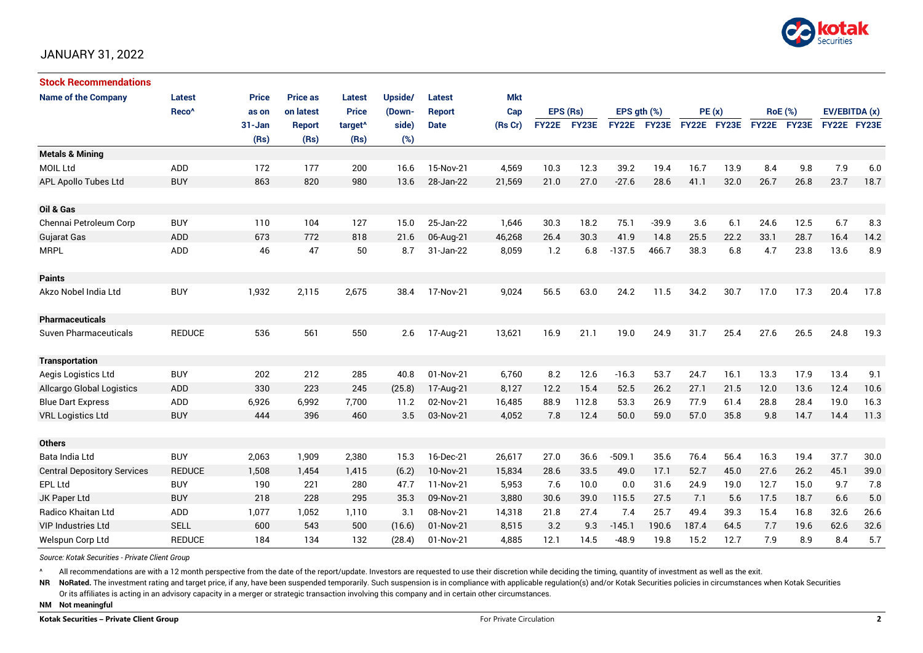

# JANUARY 31, 2022

| <b>Stock Recommendations</b>       |                   |              |                 |                     |         |               |            |              |       |                  |              |             |      |                |      |               |      |
|------------------------------------|-------------------|--------------|-----------------|---------------------|---------|---------------|------------|--------------|-------|------------------|--------------|-------------|------|----------------|------|---------------|------|
| <b>Name of the Company</b>         | <b>Latest</b>     | <b>Price</b> | <b>Price as</b> | Latest              | Upside/ | Latest        | <b>Mkt</b> |              |       |                  |              |             |      |                |      |               |      |
|                                    | Reco <sup>^</sup> | as on        | on latest       | <b>Price</b>        | (Down-  | <b>Report</b> | Cap        | EPS (Rs)     |       | EPS $gth$ $(\%)$ |              | PE(x)       |      | <b>RoE</b> (%) |      | EV/EBITDA (x) |      |
|                                    |                   | $31 - Jan$   | <b>Report</b>   | target <sup>^</sup> | side)   | <b>Date</b>   | (Rs Cr)    | <b>FY22E</b> | FY23E | <b>FY22E</b>     | <b>FY23E</b> | FY22E FY23E |      | FY22E FY23E    |      | FY22E FY23E   |      |
|                                    |                   | (Rs)         | (Rs)            | (Rs)                | (%)     |               |            |              |       |                  |              |             |      |                |      |               |      |
| <b>Metals &amp; Mining</b>         |                   |              |                 |                     |         |               |            |              |       |                  |              |             |      |                |      |               |      |
| <b>MOIL Ltd</b>                    | <b>ADD</b>        | 172          | 177             | 200                 | 16.6    | 15-Nov-21     | 4,569      | 10.3         | 12.3  | 39.2             | 19.4         | 16.7        | 13.9 | 8.4            | 9.8  | 7.9           | 6.0  |
| APL Apollo Tubes Ltd               | <b>BUY</b>        | 863          | 820             | 980                 | 13.6    | 28-Jan-22     | 21,569     | 21.0         | 27.0  | $-27.6$          | 28.6         | 41.1        | 32.0 | 26.7           | 26.8 | 23.7          | 18.7 |
|                                    |                   |              |                 |                     |         |               |            |              |       |                  |              |             |      |                |      |               |      |
| Oil & Gas                          |                   |              |                 |                     |         |               |            |              |       |                  |              |             |      |                |      |               |      |
| Chennai Petroleum Corp             | <b>BUY</b>        | 110          | 104             | 127                 | 15.0    | 25-Jan-22     | 1,646      | 30.3         | 18.2  | 75.1             | $-39.9$      | 3.6         | 6.1  | 24.6           | 12.5 | 6.7           | 8.3  |
| Gujarat Gas                        | <b>ADD</b>        | 673          | 772             | 818                 | 21.6    | 06-Aug-21     | 46,268     | 26.4         | 30.3  | 41.9             | 14.8         | 25.5        | 22.2 | 33.1           | 28.7 | 16.4          | 14.2 |
| <b>MRPL</b>                        | <b>ADD</b>        | 46           | 47              | 50                  | 8.7     | 31-Jan-22     | 8,059      | 1.2          | 6.8   | $-137.5$         | 466.7        | 38.3        | 6.8  | 4.7            | 23.8 | 13.6          | 8.9  |
|                                    |                   |              |                 |                     |         |               |            |              |       |                  |              |             |      |                |      |               |      |
| <b>Paints</b>                      |                   |              |                 |                     |         |               |            |              |       |                  |              |             |      |                |      |               |      |
| Akzo Nobel India Ltd               | <b>BUY</b>        | 1,932        | 2,115           | 2,675               | 38.4    | 17-Nov-21     | 9,024      | 56.5         | 63.0  | 24.2             | 11.5         | 34.2        | 30.7 | 17.0           | 17.3 | 20.4          | 17.8 |
|                                    |                   |              |                 |                     |         |               |            |              |       |                  |              |             |      |                |      |               |      |
| <b>Pharmaceuticals</b>             |                   |              |                 |                     |         |               |            |              |       |                  |              |             |      |                |      |               |      |
| Suven Pharmaceuticals              | <b>REDUCE</b>     | 536          | 561             | 550                 | 2.6     | 17-Aug-21     | 13,621     | 16.9         | 21.1  | 19.0             | 24.9         | 31.7        | 25.4 | 27.6           | 26.5 | 24.8          | 19.3 |
|                                    |                   |              |                 |                     |         |               |            |              |       |                  |              |             |      |                |      |               |      |
| <b>Transportation</b>              |                   |              |                 |                     |         |               |            |              |       |                  |              |             |      |                |      |               |      |
| Aegis Logistics Ltd                | <b>BUY</b>        | 202          | 212             | 285                 | 40.8    | 01-Nov-21     | 6,760      | 8.2          | 12.6  | $-16.3$          | 53.7         | 24.7        | 16.1 | 13.3           | 17.9 | 13.4          | 9.1  |
| <b>Allcargo Global Logistics</b>   | <b>ADD</b>        | 330          | 223             | 245                 | (25.8)  | 17-Aug-21     | 8,127      | 12.2         | 15.4  | 52.5             | 26.2         | 27.1        | 21.5 | 12.0           | 13.6 | 12.4          | 10.6 |
| <b>Blue Dart Express</b>           | ADD               | 6,926        | 6,992           | 7,700               | 11.2    | 02-Nov-21     | 16,485     | 88.9         | 112.8 | 53.3             | 26.9         | 77.9        | 61.4 | 28.8           | 28.4 | 19.0          | 16.3 |
| <b>VRL Logistics Ltd</b>           | <b>BUY</b>        | 444          | 396             | 460                 | 3.5     | 03-Nov-21     | 4,052      | 7.8          | 12.4  | 50.0             | 59.0         | 57.0        | 35.8 | 9.8            | 14.7 | 14.4          | 11.3 |
|                                    |                   |              |                 |                     |         |               |            |              |       |                  |              |             |      |                |      |               |      |
| <b>Others</b>                      |                   |              |                 |                     |         |               |            |              |       |                  |              |             |      |                |      |               |      |
| Bata India Ltd                     | <b>BUY</b>        | 2,063        | 1,909           | 2,380               | 15.3    | 16-Dec-21     | 26,617     | 27.0         | 36.6  | $-509.1$         | 35.6         | 76.4        | 56.4 | 16.3           | 19.4 | 37.7          | 30.0 |
| <b>Central Depository Services</b> | <b>REDUCE</b>     | 1,508        | 1,454           | 1,415               | (6.2)   | 10-Nov-21     | 15,834     | 28.6         | 33.5  | 49.0             | 17.1         | 52.7        | 45.0 | 27.6           | 26.2 | 45.1          | 39.0 |
| EPL Ltd                            | <b>BUY</b>        | 190          | 221             | 280                 | 47.7    | 11-Nov-21     | 5,953      | 7.6          | 10.0  | 0.0              | 31.6         | 24.9        | 19.0 | 12.7           | 15.0 | 9.7           | 7.8  |
| JK Paper Ltd                       | <b>BUY</b>        | 218          | 228             | 295                 | 35.3    | 09-Nov-21     | 3,880      | 30.6         | 39.0  | 115.5            | 27.5         | 7.1         | 5.6  | 17.5           | 18.7 | 6.6           | 5.0  |
| <b>Radico Khaitan Ltd</b>          | ADD               | 1,077        | 1,052           | 1,110               | 3.1     | 08-Nov-21     | 14.318     | 21.8         | 27.4  | 7.4              | 25.7         | 49.4        | 39.3 | 15.4           | 16.8 | 32.6          | 26.6 |
| <b>VIP Industries Ltd</b>          | <b>SELL</b>       | 600          | 543             | 500                 | (16.6)  | 01-Nov-21     | 8,515      | 3.2          | 9.3   | $-145.1$         | 190.6        | 187.4       | 64.5 | 7.7            | 19.6 | 62.6          | 32.6 |
| Welspun Corp Ltd                   | <b>REDUCE</b>     | 184          | 134             | 132                 | (28.4)  | 01-Nov-21     | 4,885      | 12.1         | 14.5  | $-48.9$          | 19.8         | 15.2        | 12.7 | 7.9            | 8.9  | 8.4           | 5.7  |

*Source: Kotak Securities - Private Client Group*

All recommendations are with a 12 month perspective from the date of the report/update. Investors are requested to use their discretion while deciding the timing, quantity of investment as well as the exit.

NR NoRated. The investment rating and target price, if any, have been suspended temporarily. Such suspension is in compliance with applicable regulation(s) and/or Kotak Securities policies in circumstances when Kotak Secur

Or its affiliates is acting in an advisory capacity in a merger or strategic transaction involving this company and in certain other circumstances.

**NM Not meaningful**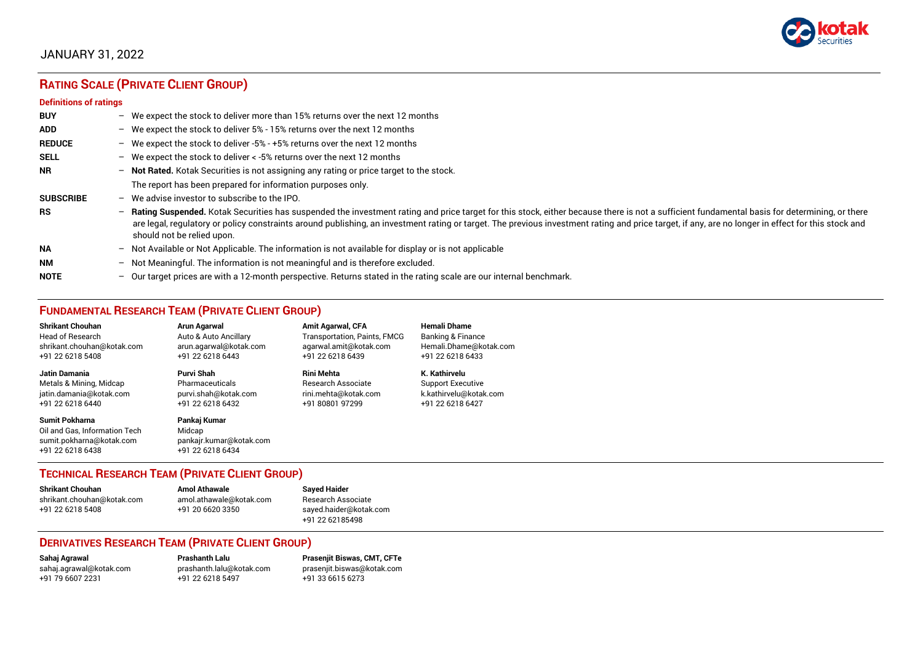

# JANUARY 31, 2022

# **RATING SCALE (PRIVATE CLIENT GROUP)**

#### **Definitions of ratings**

| <b>BUY</b>       | - We expect the stock to deliver more than 15% returns over the next 12 months                                                                                                                                                                                                                                                                                                                                                     |
|------------------|------------------------------------------------------------------------------------------------------------------------------------------------------------------------------------------------------------------------------------------------------------------------------------------------------------------------------------------------------------------------------------------------------------------------------------|
| <b>ADD</b>       | - We expect the stock to deliver 5% - 15% returns over the next 12 months                                                                                                                                                                                                                                                                                                                                                          |
| <b>REDUCE</b>    | - We expect the stock to deliver -5% - +5% returns over the next 12 months                                                                                                                                                                                                                                                                                                                                                         |
| <b>SELL</b>      | - We expect the stock to deliver $\lt$ -5% returns over the next 12 months                                                                                                                                                                                                                                                                                                                                                         |
| <b>NR</b>        | - Not Rated. Kotak Securities is not assigning any rating or price target to the stock.                                                                                                                                                                                                                                                                                                                                            |
|                  | The report has been prepared for information purposes only.                                                                                                                                                                                                                                                                                                                                                                        |
| <b>SUBSCRIBE</b> | $-$ We advise investor to subscribe to the IPO.                                                                                                                                                                                                                                                                                                                                                                                    |
| <b>RS</b>        | - Rating Suspended. Kotak Securities has suspended the investment rating and price target for this stock, either because there is not a sufficient fundamental basis for determining, or there<br>are legal, regulatory or policy constraints around publishing, an investment rating or target. The previous investment rating and price target, if any, are no longer in effect for this stock and<br>should not be relied upon. |
| <b>NA</b>        | - Not Available or Not Applicable. The information is not available for display or is not applicable                                                                                                                                                                                                                                                                                                                               |
| <b>NM</b>        | - Not Meaningful. The information is not meaningful and is therefore excluded.                                                                                                                                                                                                                                                                                                                                                     |
| <b>NOTE</b>      | $-$ Our target prices are with a 12-month perspective. Returns stated in the rating scale are our internal benchmark.                                                                                                                                                                                                                                                                                                              |

# **FUNDAMENTAL RESEARCH TEAM (PRIVATE CLIENT GROUP)**

| <b>Shrikant Chouhan</b>                                                                         | <b>Arun Agarwal</b>                                                   | <b>Amit Agarwal, CFA</b>            | Hemali Dhame             |
|-------------------------------------------------------------------------------------------------|-----------------------------------------------------------------------|-------------------------------------|--------------------------|
| <b>Head of Research</b>                                                                         | Auto & Auto Ancillary                                                 | <b>Transportation, Paints, FMCG</b> | Banking & Finance        |
| shrikant.chouhan@kotak.com                                                                      | arun.agarwal@kotak.com                                                | agarwal.amit@kotak.com              | Hemali.Dhame@kotak.com   |
| +91 22 6218 5408                                                                                | +91 22 6218 6443                                                      | +91 22 6218 6439                    | +91 22 6218 6433         |
| <b>Jatin Damania</b>                                                                            | Purvi Shah                                                            | Rini Mehta                          | K. Kathirvelu            |
| Metals & Mining, Midcap                                                                         | Pharmaceuticals                                                       | Research Associate                  | <b>Support Executive</b> |
| jatin.damania@kotak.com                                                                         | purvi.shah@kotak.com                                                  | rini.mehta@kotak.com                | k.kathirvelu@kotak.com   |
| +91 22 6218 6440                                                                                | +91 22 6218 6432                                                      | +91 80801 97299                     | +91 22 6218 6427         |
| Sumit Pokharna<br>Oil and Gas, Information Tech<br>sumit.pokharna@kotak.com<br>+91 22 6218 6438 | Pankaj Kumar<br>Midcap<br>pankajr.kumar@kotak.com<br>+91 22 6218 6434 |                                     |                          |

# **TECHNICAL RESEARCH TEAM (PRIVATE CLIENT GROUP)**

| Shrikant Chouhan           | <b>Amol Athawale</b>    | <b>Sayed Haider</b>    |
|----------------------------|-------------------------|------------------------|
| shrikant.chouhan@kotak.com | amol.athawale@kotak.com | Research Associate     |
| +91 22 6218 5408           | +91 20 6620 3350        | sayed.haider@kotak.com |
|                            |                         | +91 22 62185498        |

#### **DERIVATIVES RESEARCH TEAM (PRIVATE CLIENT GROUP)**

+91 22 6218 5497 +91 33 6615 6273

**Sahaj Agrawal Prashanth Lalu Prasenjit Biswas, CMT, CFTe** [sahaj.agrawal@kotak.com](mailto:sahaj.agrawal@kotak.com) [prashanth.lalu@kotak.com](mailto:prashanth.lalu@kotak.com) [prasenjit.biswas@kotak.com](mailto:prasenjit.biswas@kotak.com)